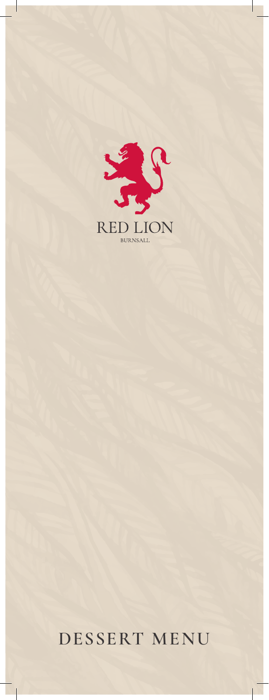

## **DESSERT MENU**